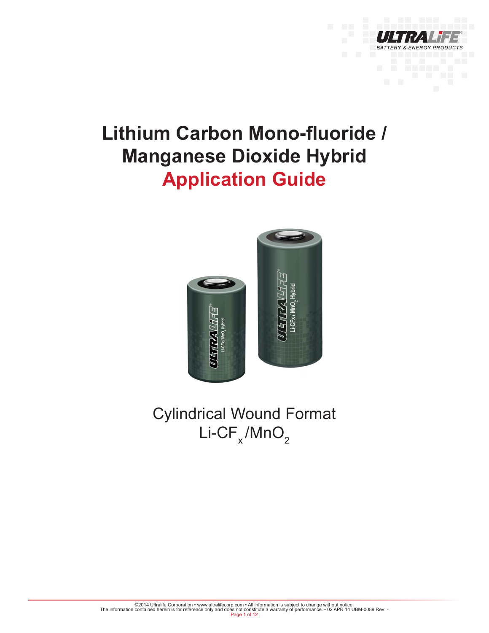

# **Lithium Carbon Mono-fluoride / Manganese Dioxide Hybrid Application Guide**



Cylindrical Wound Format  $\mathsf{Li}\text{-}\mathsf{CF}_{\mathsf{x}}/\mathsf{MnO}_{2}$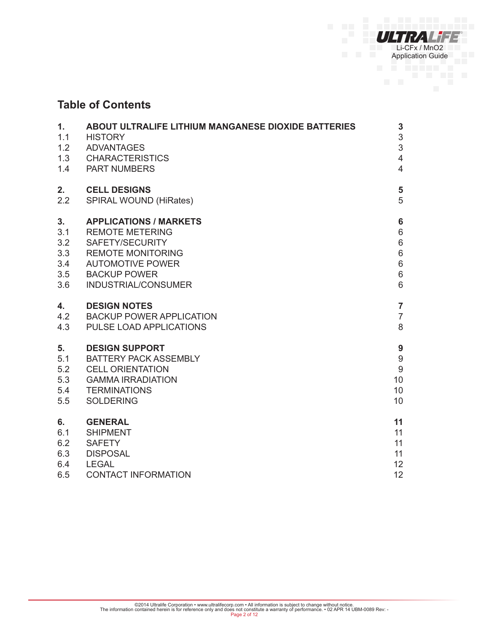

# **Table of Contents**

| $\mathbf{1}$ . | ABOUT ULTRALIFE LITHIUM MANGANESE DIOXIDE BATTERIES | $\mathbf{3}$            |
|----------------|-----------------------------------------------------|-------------------------|
| 1.1            | <b>HISTORY</b>                                      | 3                       |
| 1.2            | <b>ADVANTAGES</b>                                   | 3                       |
| 1.3            | <b>CHARACTERISTICS</b>                              | $\overline{4}$          |
| 1.4            | <b>PART NUMBERS</b>                                 | $\overline{4}$          |
| 2.             | <b>CELL DESIGNS</b>                                 | $\overline{\mathbf{5}}$ |
| 2.2            | <b>SPIRAL WOUND (HiRates)</b>                       | 5                       |
| 3.             | <b>APPLICATIONS / MARKETS</b>                       | $6\phantom{1}$          |
| 3.1            | <b>REMOTE METERING</b>                              | 6                       |
| 3.2            | SAFETY/SECURITY                                     | $\,6\,$                 |
| 3.3            | <b>REMOTE MONITORING</b>                            | $\,6\,$                 |
| 3.4            | <b>AUTOMOTIVE POWER</b>                             | $\,6$                   |
| 3.5            | <b>BACKUP POWER</b>                                 | $\,6\,$                 |
| 3.6            | INDUSTRIAL/CONSUMER                                 | $6\phantom{1}$          |
| 4.             | <b>DESIGN NOTES</b>                                 | $\overline{7}$          |
| 4.2            | <b>BACKUP POWER APPLICATION</b>                     | $\overline{7}$          |
| 4.3            | PULSE LOAD APPLICATIONS                             | 8                       |
| 5.             | <b>DESIGN SUPPORT</b>                               | 9                       |
| 5.1            | <b>BATTERY PACK ASSEMBLY</b>                        | $\boldsymbol{9}$        |
| 5.2            | <b>CELL ORIENTATION</b>                             | $\boldsymbol{9}$        |
| 5.3            | <b>GAMMA IRRADIATION</b>                            | 10                      |
| 5.4            | <b>TERMINATIONS</b>                                 | 10                      |
| 5.5            | <b>SOLDERING</b>                                    | 10                      |
| 6.             | <b>GENERAL</b>                                      | 11                      |
| 6.1            | <b>SHIPMENT</b>                                     | 11                      |
| 6.2            | <b>SAFETY</b>                                       | 11                      |
| 6.3            | <b>DISPOSAL</b>                                     | 11                      |
| 6.4            | <b>LEGAL</b>                                        | 12                      |
| 6.5            | <b>CONTACT INFORMATION</b>                          | 12                      |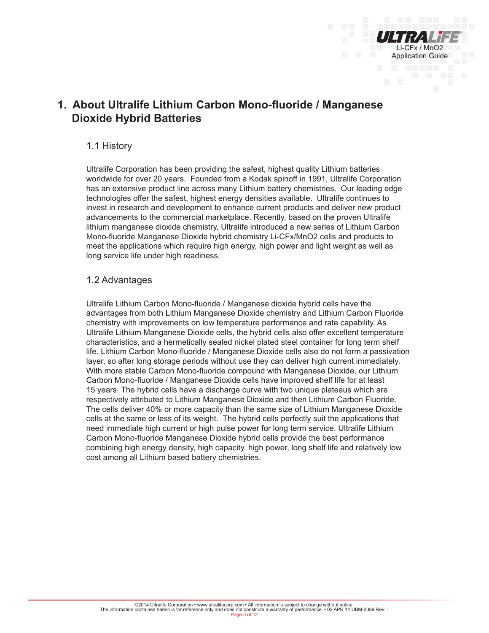

# **1. About Ultralife Lithium Carbon Mono-fluoride / Manganese Dioxide Hybrid Batteries**

## 1.1 History

Ultralife Corporation has been providing the safest, highest quality Lithium batteries worldwide for over 20 years. Founded from a Kodak spinoff in 1991, Ultralife Corporation has an extensive product line across many Lithium battery chemistries. Our leading edge technologies offer the safest, highest energy densities available. Ultralife continues to invest in research and development to enhance current products and deliver new product advancements to the commercial marketplace. Recently, based on the proven Ultralife lithium manganese dioxide chemistry, Ultralife introduced a new series of Lithium Carbon Mono-fluoride Manganese Dioxide hybrid chemistry Li-CFx/MnO2 cells and products to meet the applications which require high energy, high power and light weight as well as long service life under high readiness.

## 1.2 Advantages

Ultralife Lithium Carbon Mono-fluoride / Manganese dioxide hybrid cells have the advantages from both Lithium Manganese Dioxide chemistry and Lithium Carbon Fluoride chemistry with improvements on low temperature performance and rate capability. As Ultralife Lithium Manganese Dioxide cells, the hybrid cells also offer excellent temperature characteristics, and a hermetically sealed nickel plated steel container for long term shelf life. Lithium Carbon Mono-fluoride / Manganese Dioxide cells also do not form a passivation layer, so after long storage periods without use they can deliver high current immediately. With more stable Carbon Mono-fluoride compound with Manganese Dioxide, our Lithium Carbon Mono-fluoride / Manganese Dioxide cells have improved shelf life for at least 15 years. The hybrid cells have a discharge curve with two unique plateaus which are respectively attributed to Lithium Manganese Dioxide and then Lithium Carbon Fluoride. The cells deliver 40% or more capacity than the same size of Lithium Manganese Dioxide cells at the same or less of its weight. The hybrid cells perfectly suit the applications that need immediate high current or high pulse power for long term service. Ultralife Lithium Carbon Mono-fluoride Manganese Dioxide hybrid cells provide the best performance combining high energy density, high capacity, high power, long shelf life and relatively low cost among all Lithium based battery chemistries.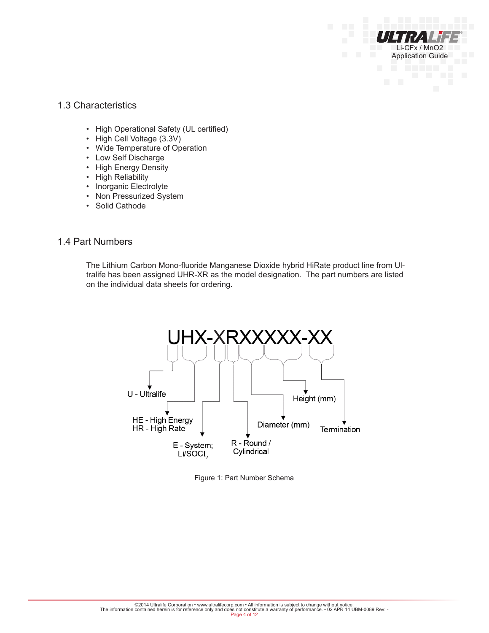## 1.3 Characteristics

- High Operational Safety (UL certified)
- High Cell Voltage (3.3V)
- Wide Temperature of Operation
- Low Self Discharge
- High Energy Density
- High Reliability
- Inorganic Electrolyte
- Non Pressurized System
- Solid Cathode

#### 1.4 Part Numbers

The Lithium Carbon Mono-fluoride Manganese Dioxide hybrid HiRate product line from Ultralife has been assigned UHR-XR as the model designation. The part numbers are listed on the individual data sheets for ordering.

Li-CFx / MnO2 Application Guide



Figure 1: Part Number Schema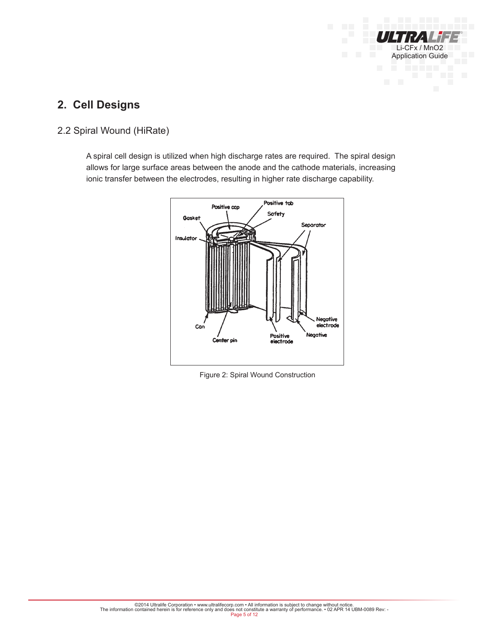

# **2. Cell Designs**

# 2.2 Spiral Wound (HiRate)

A spiral cell design is utilized when high discharge rates are required. The spiral design allows for large surface areas between the anode and the cathode materials, increasing ionic transfer between the electrodes, resulting in higher rate discharge capability.



Figure 2: Spiral Wound Construction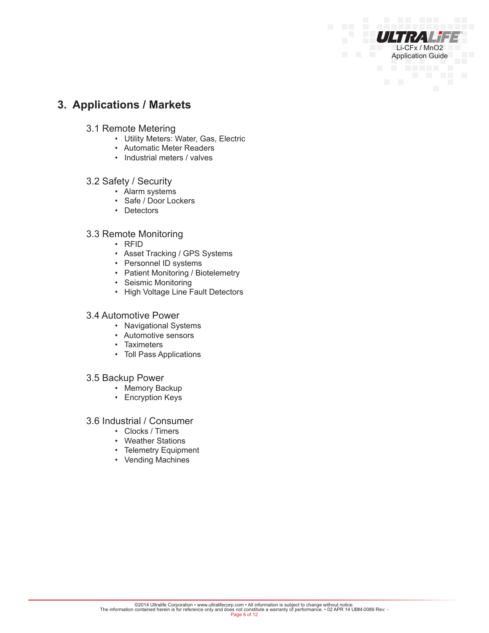# **3. Applications / Markets**

- 3.1 Remote Metering
	- Utility Meters: Water, Gas, Electric

Li-CFx / MnO2 Application Guide

- Automatic Meter Readers
- Industrial meters / valves

#### 3.2 Safety / Security

- Alarm systems
- Safe / Door Lockers
- Detectors

## 3.3 Remote Monitoring

- RFID
- Asset Tracking / GPS Systems
- Personnel ID systems
- Patient Monitoring / Biotelemetry
- Seismic Monitoring
- High Voltage Line Fault Detectors

#### 3.4 Automotive Power

- Navigational Systems
- Automotive sensors
- Taximeters
- Toll Pass Applications

#### 3.5 Backup Power

- Memory Backup
- Encryption Keys

#### 3.6 Industrial / Consumer

- Clocks / Timers
- Weather Stations
- Telemetry Equipment
- Vending Machines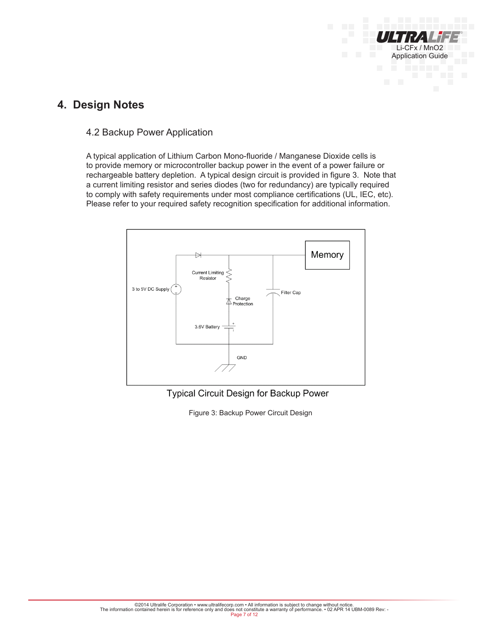

# **4. Design Notes**

## 4.2 Backup Power Application

A typical application of Lithium Carbon Mono-fluoride / Manganese Dioxide cells is to provide memory or microcontroller backup power in the event of a power failure or rechargeable battery depletion. A typical design circuit is provided in figure 3. Note that a current limiting resistor and series diodes (two for redundancy) are typically required to comply with safety requirements under most compliance certifications (UL, IEC, etc). Please refer to your required safety recognition specification for additional information.



Typical Circuit Design for Backup Power

Figure 3: Backup Power Circuit Design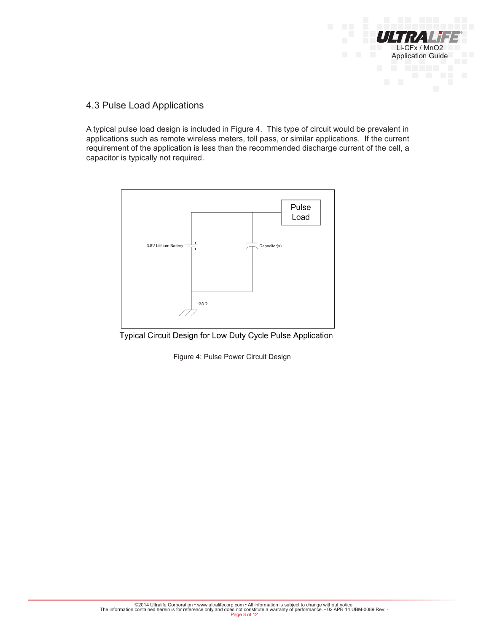

## 4.3 Pulse Load Applications

A typical pulse load design is included in Figure 4. This type of circuit would be prevalent in applications such as remote wireless meters, toll pass, or similar applications. If the current requirement of the application is less than the recommended discharge current of the cell, a capacitor is typically not required.



Typical Circuit Design for Low Duty Cycle Pulse Application

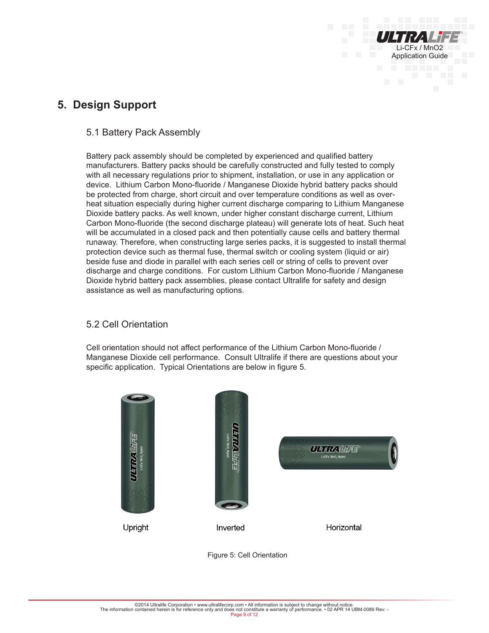

# **5. Design Support**

## 5.1 Battery Pack Assembly

Battery pack assembly should be completed by experienced and qualified battery manufacturers. Battery packs should be carefully constructed and fully tested to comply with all necessary regulations prior to shipment, installation, or use in any application or device. Lithium Carbon Mono-fluoride / Manganese Dioxide hybrid battery packs should be protected from charge, short circuit and over temperature conditions as well as overheat situation especially during higher current discharge comparing to Lithium Manganese Dioxide battery packs. As well known, under higher constant discharge current, Lithium Carbon Mono-fluoride (the second discharge plateau) will generate lots of heat. Such heat will be accumulated in a closed pack and then potentially cause cells and battery thermal runaway. Therefore, when constructing large series packs, it is suggested to install thermal protection device such as thermal fuse, thermal switch or cooling system (liquid or air) beside fuse and diode in parallel with each series cell or string of cells to prevent over discharge and charge conditions. For custom Lithium Carbon Mono-fluoride / Manganese Dioxide hybrid battery pack assemblies, please contact Ultralife for safety and design assistance as well as manufacturing options.

## 5.2 Cell Orientation

Cell orientation should not affect performance of the Lithium Carbon Mono-fluoride / Manganese Dioxide cell performance. Consult Ultralife if there are questions about your specific application. Typical Orientations are below in figure 5.

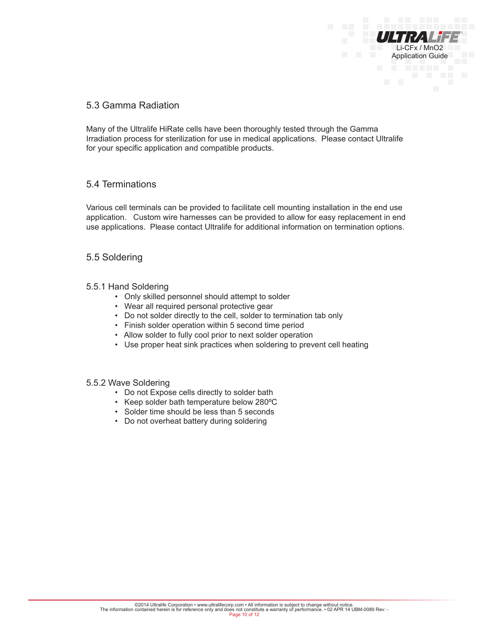## 5.3 Gamma Radiation

Many of the Ultralife HiRate cells have been thoroughly tested through the Gamma Irradiation process for sterilization for use in medical applications. Please contact Ultralife for your specific application and compatible products.

Li-CFx / MnO2 Application Guide

## 5.4 Terminations

Various cell terminals can be provided to facilitate cell mounting installation in the end use application. Custom wire harnesses can be provided to allow for easy replacement in end use applications. Please contact Ultralife for additional information on termination options.

## 5.5 Soldering

#### 5.5.1 Hand Soldering

- Only skilled personnel should attempt to solder
- Wear all required personal protective gear
- Do not solder directly to the cell, solder to termination tab only
- Finish solder operation within 5 second time period
- Allow solder to fully cool prior to next solder operation
- Use proper heat sink practices when soldering to prevent cell heating

#### 5.5.2 Wave Soldering

- Do not Expose cells directly to solder bath
- Keep solder bath temperature below 280ºC
- Solder time should be less than 5 seconds
- Do not overheat battery during soldering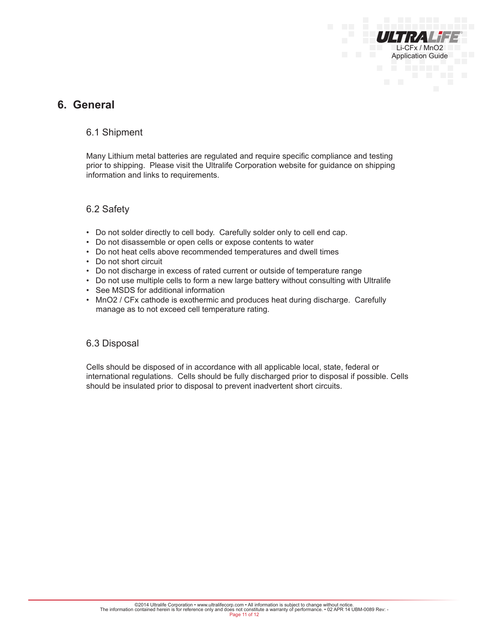

# **6. General**

## 6.1 Shipment

Many Lithium metal batteries are regulated and require specific compliance and testing prior to shipping. Please visit the Ultralife Corporation website for guidance on shipping information and links to requirements.

#### 6.2 Safety

- Do not solder directly to cell body. Carefully solder only to cell end cap.
- Do not disassemble or open cells or expose contents to water
- Do not heat cells above recommended temperatures and dwell times
- Do not short circuit
- Do not discharge in excess of rated current or outside of temperature range
- Do not use multiple cells to form a new large battery without consulting with Ultralife
- See MSDS for additional information
- MnO2 / CFx cathode is exothermic and produces heat during discharge. Carefully manage as to not exceed cell temperature rating.

#### 6.3 Disposal

Cells should be disposed of in accordance with all applicable local, state, federal or international regulations. Cells should be fully discharged prior to disposal if possible. Cells should be insulated prior to disposal to prevent inadvertent short circuits.